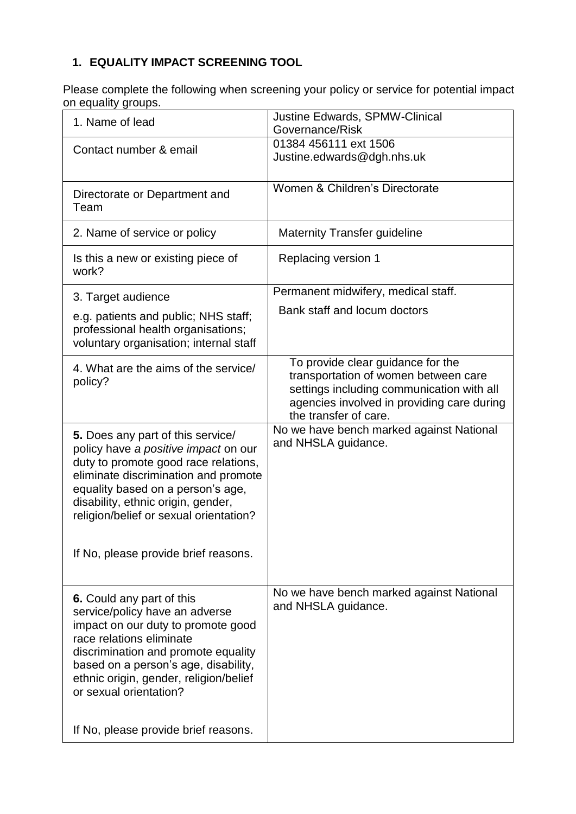## **1. EQUALITY IMPACT SCREENING TOOL**

Please complete the following when screening your policy or service for potential impact on equality groups.

| on oquamiy groupo.                                                                                                                                                                                                                                                                                                       |                                                                                                                                                                                               |
|--------------------------------------------------------------------------------------------------------------------------------------------------------------------------------------------------------------------------------------------------------------------------------------------------------------------------|-----------------------------------------------------------------------------------------------------------------------------------------------------------------------------------------------|
| 1. Name of lead                                                                                                                                                                                                                                                                                                          | Justine Edwards, SPMW-Clinical<br>Governance/Risk                                                                                                                                             |
| Contact number & email                                                                                                                                                                                                                                                                                                   | 01384 456111 ext 1506<br>Justine.edwards@dgh.nhs.uk                                                                                                                                           |
| Directorate or Department and<br>Team                                                                                                                                                                                                                                                                                    | Women & Children's Directorate                                                                                                                                                                |
| 2. Name of service or policy                                                                                                                                                                                                                                                                                             | <b>Maternity Transfer guideline</b>                                                                                                                                                           |
| Is this a new or existing piece of<br>work?                                                                                                                                                                                                                                                                              | Replacing version 1                                                                                                                                                                           |
| 3. Target audience                                                                                                                                                                                                                                                                                                       | Permanent midwifery, medical staff.                                                                                                                                                           |
| e.g. patients and public; NHS staff;<br>professional health organisations;<br>voluntary organisation; internal staff                                                                                                                                                                                                     | Bank staff and locum doctors                                                                                                                                                                  |
| 4. What are the aims of the service/<br>policy?                                                                                                                                                                                                                                                                          | To provide clear guidance for the<br>transportation of women between care<br>settings including communication with all<br>agencies involved in providing care during<br>the transfer of care. |
| 5. Does any part of this service/                                                                                                                                                                                                                                                                                        | No we have bench marked against National                                                                                                                                                      |
| policy have a positive impact on our<br>duty to promote good race relations,<br>eliminate discrimination and promote<br>equality based on a person's age,<br>disability, ethnic origin, gender,<br>religion/belief or sexual orientation?                                                                                | and NHSLA guidance.                                                                                                                                                                           |
| If No, please provide brief reasons.                                                                                                                                                                                                                                                                                     |                                                                                                                                                                                               |
| 6. Could any part of this<br>service/policy have an adverse<br>impact on our duty to promote good<br>race relations eliminate<br>discrimination and promote equality<br>based on a person's age, disability,<br>ethnic origin, gender, religion/belief<br>or sexual orientation?<br>If No, please provide brief reasons. | No we have bench marked against National<br>and NHSLA guidance.                                                                                                                               |